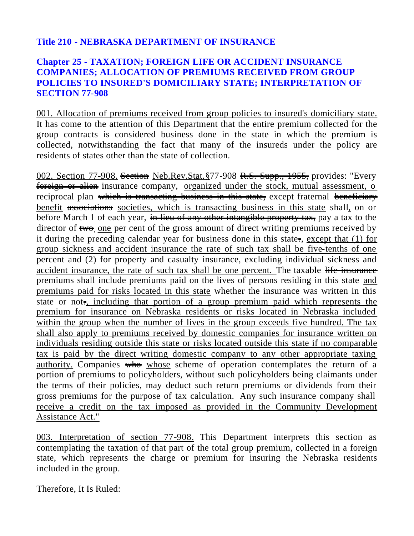## **Title 210 - NEBRASKA DEPARTMENT OF INSURANCE**

## **Chapter 25 - TAXATION; FOREIGN LIFE OR ACCIDENT INSURANCE COMPANIES; ALLOCATION OF PREMIUMS RECEIVED FROM GROUP POLICIES TO INSURED'S DOMICILIARY STATE; INTERPRETATION OF SECTION 77-908**

001. Allocation of premiums received from group policies to insured's domiciliary state. It has come to the attention of this Department that the entire premium collected for the group contracts is considered business done in the state in which the premium is collected, notwithstanding the fact that many of the insureds under the policy are residents of states other than the state of collection.

002. Section 77-908. Section Neb.Rev.Stat. §77-908 R.S. Supp., 1955, provides: "Every foreign or alien insurance company, organized under the stock, mutual assessment, o reciprocal plan which is transacting business in this state, except fraternal beneficiary benefit associations societies, which is transacting business in this state shall, on or before March 1 of each year, in lieu of any other intangible property tax, pay a tax to the director of two, one per cent of the gross amount of direct writing premiums received by it during the preceding calendar year for business done in this state. except that  $(1)$  for group sickness and accident insurance the rate of such tax shall be five-tenths of one percent and (2) for property and casualty insurance, excluding individual sickness and accident insurance, the rate of such tax shall be one percent. The taxable life insurance premiums shall include premiums paid on the lives of persons residing in this state and premiums paid for risks located in this state whether the insurance was written in this state or not., including that portion of a group premium paid which represents the premium for insurance on Nebraska residents or risks located in Nebraska included within the group when the number of lives in the group exceeds five hundred. The tax shall also apply to premiums received by domestic companies for insurance written on individuals residing outside this state or risks located outside this state if no comparable tax is paid by the direct writing domestic company to any other appropriate taxing authority. Companies who whose scheme of operation contemplates the return of a portion of premiums to policyholders, without such policyholders being claimants under the terms of their policies, may deduct such return premiums or dividends from their gross premiums for the purpose of tax calculation. Any such insurance company shall receive a credit on the tax imposed as provided in the Community Development Assistance Act."

003. Interpretation of section 77-908. This Department interprets this section as contemplating the taxation of that part of the total group premium, collected in a foreign state, which represents the charge or premium for insuring the Nebraska residents included in the group.

Therefore, It Is Ruled: